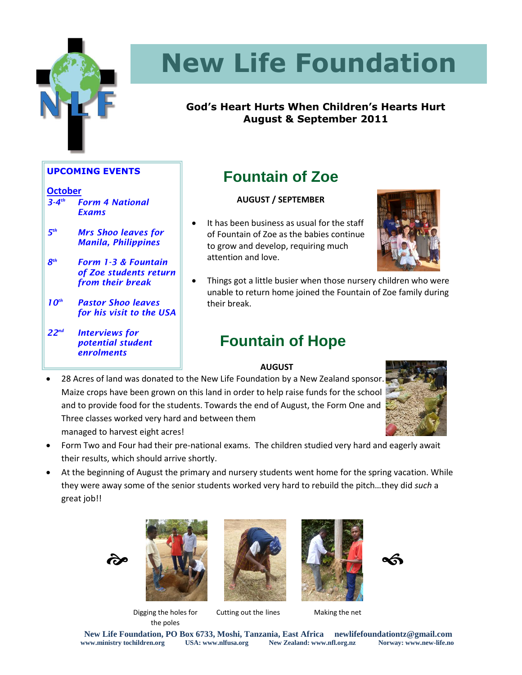

# **New Life Foundation**

### **God's Heart Hurts When Children's Hearts Hurt August & September 2011**

### **UPCOMING EVENTS**

### **October**

- *3-4 th Form 4 National Exams*
- *5 Mrs Shoo leaves for Manila, Philippines*

*8 th Form 1-3 & Fountain of Zoe students return from their break*

*10th Pastor Shoo leaves for his visit to the USA*

*22nd Interviews for potential student enrolments*

### **Fountain of Zoe**

### **AUGUST / SEPTEMBER**

 It has been business as usual for the staff of Fountain of Zoe as the babies continue to grow and develop, requiring much attention and love.



 Things got a little busier when those nursery children who were unable to return home joined the Fountain of Zoe family during their break.

### **Fountain of Hope**

### **AUGUST**

**28 Acres of land was donated to the New Life Foundation by a New Zealand sponsor.** Maize crops have been grown on this land in order to help raise funds for the school and to provide food for the students. Towards the end of August, the Form One and Three classes worked very hard and between them managed to harvest eight acres!



- Form Two and Four had their pre-national exams. The children studied very hard and eagerly await their results, which should arrive shortly.
- At the beginning of August the primary and nursery students went home for the spring vacation. While they were away some of the senior students worked very hard to rebuild the pitch…they did *such* a great job!!





Digging the holes for the poles



Cutting out the lines Making the net





**New Life Foundation, PO Box 6733, Moshi, Tanzania, East Africa newlifefoundationtz@gmail.com www.ministry tochildren.org USA: www.nlfusa.org New Zealand: www.nfl.org.nz Norway: www.new-life.no**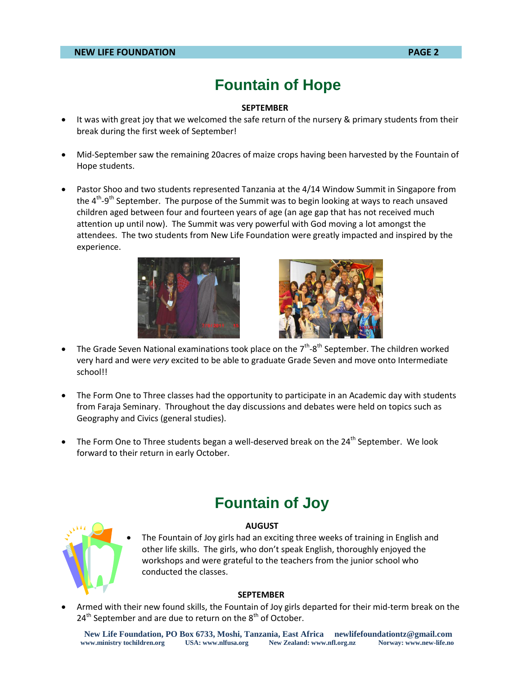### **Fountain of Hope**

#### **SEPTEMBER**

- It was with great joy that we welcomed the safe return of the nursery & primary students from their break during the first week of September!
- Mid-September saw the remaining 20acres of maize crops having been harvested by the Fountain of Hope students.
- Pastor Shoo and two students represented Tanzania at the 4/14 Window Summit in Singapore from the 4<sup>th</sup>-9<sup>th</sup> September. The purpose of the Summit was to begin looking at ways to reach unsaved children aged between four and fourteen years of age (an age gap that has not received much attention up until now). The Summit was very powerful with God moving a lot amongst the attendees. The two students from New Life Foundation were greatly impacted and inspired by the experience.





- The Grade Seven National examinations took place on the  $7<sup>th</sup>$ -8<sup>th</sup> September. The children worked very hard and were *very* excited to be able to graduate Grade Seven and move onto Intermediate school!!
- The Form One to Three classes had the opportunity to participate in an Academic day with students from Faraja Seminary. Throughout the day discussions and debates were held on topics such as Geography and Civics (general studies).
- The Form One to Three students began a well-deserved break on the 24<sup>th</sup> September. We look forward to their return in early October.

### **Fountain of Joy**



#### **AUGUST**

 The Fountain of Joy girls had an exciting three weeks of training in English and other life skills. The girls, who don't speak English, thoroughly enjoyed the workshops and were grateful to the teachers from the junior school who conducted the classes.

#### **SEPTEMBER**

 Armed with their new found skills, the Fountain of Joy girls departed for their mid-term break on the  $24<sup>th</sup>$  September and are due to return on the  $8<sup>th</sup>$  of October.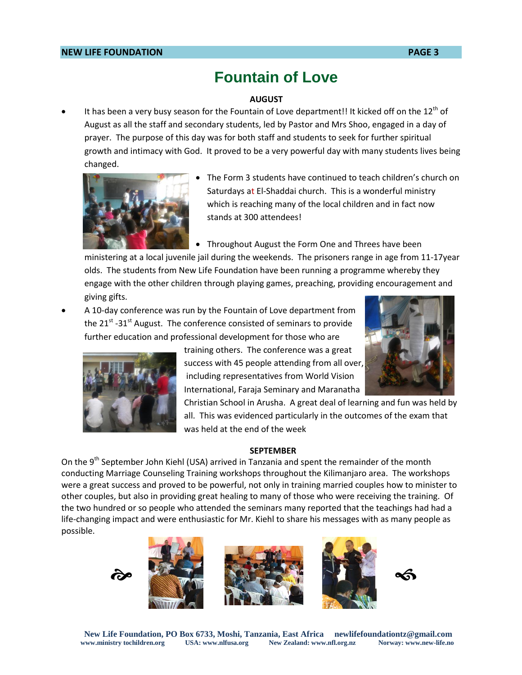### **Fountain of Love**

### **AUGUST**

It has been a very busy season for the Fountain of Love department!! It kicked off on the  $12<sup>th</sup>$  of August as all the staff and secondary students, led by Pastor and Mrs Shoo, engaged in a day of prayer. The purpose of this day was for both staff and students to seek for further spiritual growth and intimacy with God. It proved to be a very powerful day with many students lives being changed.



- The Form 3 students have continued to teach children's church on Saturdays at El-Shaddai church. This is a wonderful ministry which is reaching many of the local children and in fact now stands at 300 attendees!
- Throughout August the Form One and Threes have been

ministering at a local juvenile jail during the weekends. The prisoners range in age from 11-17year olds. The students from New Life Foundation have been running a programme whereby they engage with the other children through playing games, preaching, providing encouragement and giving gifts.

 A 10-day conference was run by the Fountain of Love department from the 21<sup>st</sup> -31<sup>st</sup> August. The conference consisted of seminars to provide further education and professional development for those who are



training others. The conference was a great success with 45 people attending from all over, including representatives from World Vision International, Faraja Seminary and Maranatha



Christian School in Arusha. A great deal of learning and fun was held by all. This was evidenced particularly in the outcomes of the exam that was held at the end of the week

#### **SEPTEMBER**

On the 9<sup>th</sup> September John Kiehl (USA) arrived in Tanzania and spent the remainder of the month conducting Marriage Counseling Training workshops throughout the Kilimanjaro area. The workshops were a great success and proved to be powerful, not only in training married couples how to minister to other couples, but also in providing great healing to many of those who were receiving the training. Of the two hundred or so people who attended the seminars many reported that the teachings had had a life-changing impact and were enthusiastic for Mr. Kiehl to share his messages with as many people as possible.

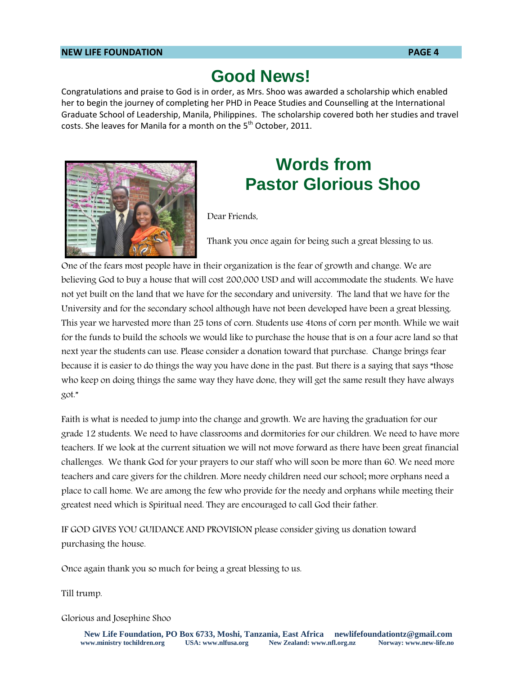#### **NEW LIFE FOUNDATION PAGE 4**

### **Good News!**

Congratulations and praise to God is in order, as Mrs. Shoo was awarded a scholarship which enabled her to begin the journey of completing her PHD in Peace Studies and Counselling at the International Graduate School of Leadership, Manila, Philippines. The scholarship covered both her studies and travel costs. She leaves for Manila for a month on the 5<sup>th</sup> October, 2011.



### **Words from Pastor Glorious Shoo**

Dear Friends,

Thank you once again for being such a great blessing to us.

One of the fears most people have in their organization is the fear of growth and change. We are believing God to buy a house that will cost 200,000 USD and will accommodate the students. We have not yet built on the land that we have for the secondary and university. The land that we have for the University and for the secondary school although have not been developed have been a great blessing. This year we harvested more than 25 tons of corn. Students use 4tons of corn per month. While we wait for the funds to build the schools we would like to purchase the house that is on a four acre land so that next year the students can use. Please consider a donation toward that purchase. Change brings fear because it is easier to do things the way you have done in the past. But there is a saying that says "those who keep on doing things the same way they have done, they will get the same result they have always got."

Faith is what is needed to jump into the change and growth. We are having the graduation for our grade 12 students. We need to have classrooms and dormitories for our children. We need to have more teachers. If we look at the current situation we will not move forward as there have been great financial challenges. We thank God for your prayers to our staff who will soon be more than 60. We need more teachers and care givers for the children. More needy children need our school; more orphans need a place to call home. We are among the few who provide for the needy and orphans while meeting their greatest need which is Spiritual need. They are encouraged to call God their father.

IF GOD GIVES YOU GUIDANCE AND PROVISION please consider giving us donation toward purchasing the house.

Once again thank you so much for being a great blessing to us.

Till trump.

Glorious and Josephine Shoo